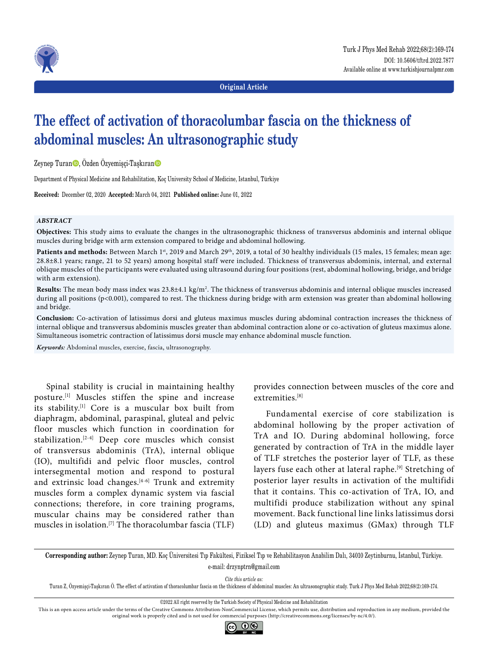



**Original Article**

# **The effect of activation of thoracolumbar fascia on the thickness of abdominal muscles: An ultrasonographic study**

Zeynep Turan $\bullet$ , Özden Özyemişçi-Taşkıran $\bullet$ 

Department of Physical Medicine and Rehabilitation, Koç University School of Medicine, Istanbul, Türkiye

**Received:** December 02, 2020 **Accepted:** March 04, 2021 **Published online:** June 01, 2022

#### *ABSTRACT*

**Objectives:** This study aims to evaluate the changes in the ultrasonographic thickness of transversus abdominis and internal oblique muscles during bridge with arm extension compared to bridge and abdominal hollowing.

Patients and methods: Between March 1<sup>st</sup>, 2019 and March 29<sup>th</sup>, 2019, a total of 30 healthy individuals (15 males, 15 females; mean age: 28.8±8.1 years; range, 21 to 52 years) among hospital staff were included. Thickness of transversus abdominis, internal, and external oblique muscles of the participants were evaluated using ultrasound during four positions (rest, abdominal hollowing, bridge, and bridge with arm extension).

**Results:** The mean body mass index was 23.8±4.1 kg/m2 . The thickness of transversus abdominis and internal oblique muscles increased during all positions (p<0.001), compared to rest. The thickness during bridge with arm extension was greater than abdominal hollowing and bridge.

**Conclusion:** Co-activation of latissimus dorsi and gluteus maximus muscles during abdominal contraction increases the thickness of internal oblique and transversus abdominis muscles greater than abdominal contraction alone or co-activation of gluteus maximus alone. Simultaneous isometric contraction of latissimus dorsi muscle may enhance abdominal muscle function.

*Keywords:* Abdominal muscles, exercise, fascia, ultrasonography.

Spinal stability is crucial in maintaining healthy posture.[1] Muscles stiffen the spine and increase its stability.[1] Core is a muscular box built from diaphragm, abdominal, paraspinal, gluteal and pelvic floor muscles which function in coordination for stabilization.[2-4] Deep core muscles which consist of transversus abdominis (TrA), internal oblique (IO), multifidi and pelvic floor muscles, control intersegmental motion and respond to postural and extrinsic load changes.<sup>[4-6]</sup> Trunk and extremity muscles form a complex dynamic system via fascial connections; therefore, in core training programs, muscular chains may be considered rather than muscles in isolation.[7] The thoracolumbar fascia (TLF)

provides connection between muscles of the core and extremities.[8]

Fundamental exercise of core stabilization is abdominal hollowing by the proper activation of TrA and IO. During abdominal hollowing, force generated by contraction of TrA in the middle layer of TLF stretches the posterior layer of TLF, as these layers fuse each other at lateral raphe.[9] Stretching of posterior layer results in activation of the multifidi that it contains. This co-activation of TrA, IO, and multifidi produce stabilization without any spinal movement. Back functional line links latissimus dorsi (LD) and gluteus maximus (GMax) through TLF

**Corresponding author:** Zeynep Turan, MD. Koç Üniversitesi Tıp Fakültesi, Fiziksel Tıp ve Rehabilitasyon Anabilim Dalı, 34010 Zeytinburnu, İstanbul, Türkiye. e-mail: drzynptrn@gmail.com

*Cite this article as:*

Turan Z, Özyemişçi-Taşkıran Ö. The effect of activation of thoracolumbar fascia on the thickness of abdominal muscles: An ultrasonographic study. Turk J Phys Med Rehab 2022;68(2):169-174.

This is an open access article under the terms of the Creative Commons Attribution-NonCommercial License, which permits use, distribution and reproduction in any medium, provided the original work is properly cited and is not used for commercial purposes (http://creativecommons.org/licenses/by-nc/4.0/).



<sup>©2022</sup> All right reserved by the Turkish Society of Physical Medicine and Rehabilitation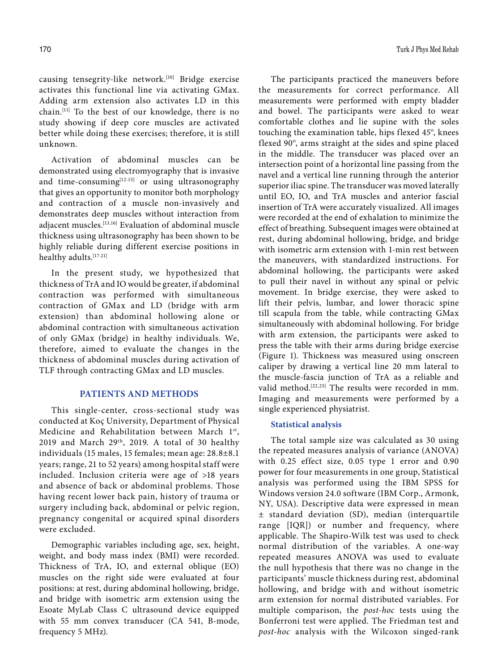causing tensegrity-like network.[10] Bridge exercise activates this functional line via activating GMax. Adding arm extension also activates LD in this chain.[11] To the best of our knowledge, there is no study showing if deep core muscles are activated better while doing these exercises; therefore, it is still unknown.

Activation of abdominal muscles can be demonstrated using electromyography that is invasive and time-consuming $[12-15]$  or using ultrasonography that gives an opportunity to monitor both morphology and contraction of a muscle non-invasively and demonstrates deep muscles without interaction from adjacent muscles.[13,16] Evaluation of abdominal muscle thickness using ultrasonography has been shown to be highly reliable during different exercise positions in healthy adults.[17-21]

In the present study, we hypothesized that thickness of TrA and IO would be greater, if abdominal contraction was performed with simultaneous contraction of GMax and LD (bridge with arm extension) than abdominal hollowing alone or abdominal contraction with simultaneous activation of only GMax (bridge) in healthy individuals. We, therefore, aimed to evaluate the changes in the thickness of abdominal muscles during activation of TLF through contracting GMax and LD muscles.

# **PATIENTS AND METHODS**

This single-center, cross-sectional study was conducted at Koç University, Department of Physical Medicine and Rehabilitation between March 1st, 2019 and March 29<sup>th</sup>, 2019. A total of 30 healthy individuals (15 males, 15 females; mean age: 28.8±8.1 years; range, 21 to 52 years) among hospital staff were included. Inclusion criteria were age of >18 years and absence of back or abdominal problems. Those having recent lower back pain, history of trauma or surgery including back, abdominal or pelvic region, pregnancy congenital or acquired spinal disorders were excluded.

Demographic variables including age, sex, height, weight, and body mass index (BMI) were recorded. Thickness of TrA, IO, and external oblique (EO) muscles on the right side were evaluated at four positions: at rest, during abdominal hollowing, bridge, and bridge with isometric arm extension using the Esoate MyLab Class C ultrasound device equipped with 55 mm convex transducer (CA 541, B-mode, frequency 5 MHz).

The participants practiced the maneuvers before the measurements for correct performance. All measurements were performed with empty bladder and bowel. The participants were asked to wear comfortable clothes and lie supine with the soles touching the examination table, hips flexed 45º, knees flexed 90º, arms straight at the sides and spine placed in the middle. The transducer was placed over an intersection point of a horizontal line passing from the navel and a vertical line running through the anterior superior iliac spine. The transducer was moved laterally until EO, IO, and TrA muscles and anterior fascial insertion of TrA were accurately visualized. All images were recorded at the end of exhalation to minimize the effect of breathing. Subsequent images were obtained at rest, during abdominal hollowing, bridge, and bridge with isometric arm extension with 1-min rest between the maneuvers, with standardized instructions. For abdominal hollowing, the participants were asked to pull their navel in without any spinal or pelvic movement. In bridge exercise, they were asked to lift their pelvis, lumbar, and lower thoracic spine till scapula from the table, while contracting GMax simultaneously with abdominal hollowing. For bridge with arm extension, the participants were asked to press the table with their arms during bridge exercise (Figure 1). Thickness was measured using onscreen caliper by drawing a vertical line 20 mm lateral to the muscle-fascia junction of TrA as a reliable and valid method.[22,23] The results were recorded in mm. Imaging and measurements were performed by a single experienced physiatrist.

#### **Statistical analysis**

The total sample size was calculated as 30 using the repeated measures analysis of variance (ANOVA) with 0.25 effect size, 0.05 type 1 error and 0.90 power for four measurements in one group, Statistical analysis was performed using the IBM SPSS for Windows version 24.0 software (IBM Corp., Armonk, NY, USA). Descriptive data were expressed in mean ± standard deviation (SD), median (interquartile range [IQR]) or number and frequency, where applicable. The Shapiro-Wilk test was used to check normal distribution of the variables. A one-way repeated measures ANOVA was used to evaluate the null hypothesis that there was no change in the participants' muscle thickness during rest, abdominal hollowing, and bridge with and without isometric arm extension for normal distributed variables. For multiple comparison, the *post-hoc* tests using the Bonferroni test were applied. The Friedman test and *post-hoc* analysis with the Wilcoxon singed-rank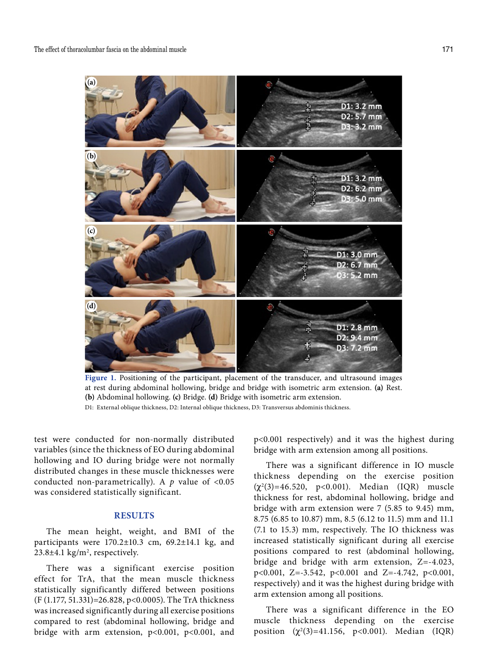

**Figure 1.** Positioning of the participant, placement of the transducer, and ultrasound images at rest during abdominal hollowing, bridge and bridge with isometric arm extension. **(a)** Rest. **(b)** Abdominal hollowing. **(c)** Bridge. **(d)** Bridge with isometric arm extension. D1: External oblique thickness, D2: Internal oblique thickness, D3: Transversus abdominis thickness.

test were conducted for non-normally distributed variables (since the thickness of EO during abdominal hollowing and IO during bridge were not normally distributed changes in these muscle thicknesses were conducted non-parametrically). A  $p$  value of <0.05 was considered statistically significant.

# **RESULTS**

The mean height, weight, and BMI of the participants were 170.2±10.3 cm, 69.2±14.1 kg, and  $23.8 \pm 4.1$  kg/m<sup>2</sup>, respectively.

There was a significant exercise position effect for TrA, that the mean muscle thickness statistically significantly differed between positions (F (1.177, 51.331)=26.828, p<0.0005). The TrA thickness was increased significantly during all exercise positions compared to rest (abdominal hollowing, bridge and bridge with arm extension, p<0.001, p<0.001, and

p<0.001 respectively) and it was the highest during bridge with arm extension among all positions.

There was a significant difference in IO muscle thickness depending on the exercise position  $(\chi^2(3)=46.520, p<0.001)$ . Median (IQR) muscle thickness for rest, abdominal hollowing, bridge and bridge with arm extension were 7 (5.85 to 9.45) mm, 8.75 (6.85 to 10.87) mm, 8.5 (6.12 to 11.5) mm and 11.1 (7.1 to 15.3) mm, respectively. The IO thickness was increased statistically significant during all exercise positions compared to rest (abdominal hollowing, bridge and bridge with arm extension, Z=-4.023, p<0.001, Z=-3.542, p<0.001 and Z=-4.742, p<0.001, respectively) and it was the highest during bridge with arm extension among all positions.

There was a significant difference in the EO muscle thickness depending on the exercise position  $(\chi^2(3)=41.156, \ p<0.001)$ . Median (IQR)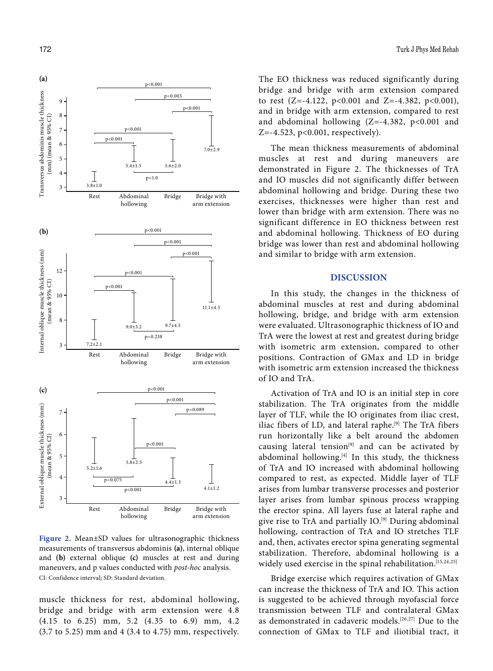

**Figure 2.** Mean±SD values for ultrasonographic thickness measurements of transversus abdominis **(a)**, internal oblique and **(b)** external oblique **(c)** muscles at rest and during maneuvers, and p values conducted with *post-hoc* analysis. CI: Confidence interval; SD: Standard deviation.

muscle thickness for rest, abdominal hollowing, bridge and bridge with arm extension were 4.8 (4.15 to 6.25) mm, 5.2 (4.35 to 6.9) mm, 4.2 (3.7 to 5.25) mm and 4 (3.4 to 4.75) mm, respectively. The EO thickness was reduced significantly during bridge and bridge with arm extension compared to rest  $(Z=-4.122, p<0.001$  and  $Z=-4.382, p<0.001$ ), and in bridge with arm extension, compared to rest and abdominal hollowing  $(Z=-4.382, p<0.001$  and Z=-4.523, p<0.001, respectively).

The mean thickness measurements of abdominal muscles at rest and during maneuvers are demonstrated in Figure 2. The thicknesses of TrA and IO muscles did not significantly differ between abdominal hollowing and bridge. During these two exercises, thicknesses were higher than rest and lower than bridge with arm extension. There was no significant difference in EO thickness between rest and abdominal hollowing. Thickness of EO during bridge was lower than rest and abdominal hollowing and similar to bridge with arm extension.

# **DISCUSSION**

In this study, the changes in the thickness of abdominal muscles at rest and during abdominal hollowing, bridge, and bridge with arm extension were evaluated. Ultrasonographic thickness of IO and TrA were the lowest at rest and greatest during bridge with isometric arm extension, compared to other positions. Contraction of GMax and LD in bridge with isometric arm extension increased the thickness of IO and TrA.

Activation of TrA and IO is an initial step in core stabilization. The TrA originates from the middle layer of TLF, while the IO originates from iliac crest, iliac fibers of LD, and lateral raphe.[9] The TrA fibers run horizontally like a belt around the abdomen causing lateral tension<sup>[9]</sup> and can be activated by abdominal hollowing.<sup>[4]</sup> In this study, the thickness of TrA and IO increased with abdominal hollowing compared to rest, as expected. Middle layer of TLF arises from lumbar transverse processes and posterior layer arises from lumbar spinous process wrapping the erector spina. All layers fuse at lateral raphe and give rise to TrA and partially IO.<sup>[9]</sup> During abdominal hollowing, contraction of TrA and IO stretches TLF and, then, activates erector spina generating segmental stabilization. Therefore, abdominal hollowing is a widely used exercise in the spinal rehabilitation.<sup>[15,24,25]</sup>

Bridge exercise which requires activation of GMax can increase the thickness of TrA and IO. This action is suggested to be achieved through myofascial force transmission between TLF and contralateral GMax as demonstrated in cadaveric models.[26,27] Due to the connection of GMax to TLF and iliotibial tract, it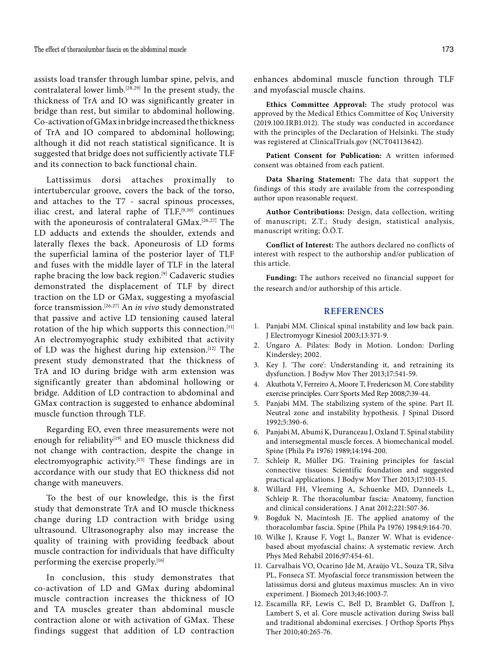assists load transfer through lumbar spine, pelvis, and contralateral lower limb.[28,29] In the present study, the thickness of TrA and IO was significantly greater in bridge than rest, but similar to abdominal hollowing. Co-activation of GMax in bridge increased the thickness of TrA and IO compared to abdominal hollowing; although it did not reach statistical significance. It is suggested that bridge does not sufficiently activate TLF and its connection to back functional chain.

Lattissimus dorsi attaches proximally to intertubercular groove, covers the back of the torso, and attaches to the T7 - sacral spinous processes, iliac crest, and lateral raphe of  $TLF$ ,<sup>[9,30]</sup> continues with the aponeurosis of contralateral GMax.[26,27] The LD adducts and extends the shoulder, extends and laterally flexes the back. Aponeurosis of LD forms the superficial lamina of the posterior layer of TLF and fuses with the middle layer of TLF in the lateral raphe bracing the low back region.[9] Cadaveric studies demonstrated the displacement of TLF by direct traction on the LD or GMax, suggesting a myofascial force transmission.[26,27] An *in vivo* study demonstrated that passive and active LD tensioning caused lateral rotation of the hip which supports this connection.<sup>[11]</sup> An electromyographic study exhibited that activity of LD was the highest during hip extension.[12] The present study demonstrated that the thickness of TrA and IO during bridge with arm extension was significantly greater than abdominal hollowing or bridge. Addition of LD contraction to abdominal and GMax contraction is suggested to enhance abdominal muscle function through TLF.

Regarding EO, even three measurements were not enough for reliability<sup>[19]</sup> and EO muscle thickness did not change with contraction, despite the change in electromyographic activity.[13] These findings are in accordance with our study that EO thickness did not change with maneuvers.

To the best of our knowledge, this is the first study that demonstrate TrA and IO muscle thickness change during LD contraction with bridge using ultrasound. Ultrasonography also may increase the quality of training with providing feedback about muscle contraction for individuals that have difficulty performing the exercise properly.<sup>[16]</sup>

In conclusion, this study demonstrates that co-activation of LD and GMax during abdominal muscle contraction increases the thickness of IO and TA muscles greater than abdominal muscle contraction alone or with activation of GMax. These findings suggest that addition of LD contraction

enhances abdominal muscle function through TLF and myofascial muscle chains.

**Ethics Committee Approval:** The study protocol was approved by the Medical Ethics Committee of Koç University (2019.100.IRB1.012). The study was conducted in accordance with the principles of the Declaration of Helsinki. The study was registered at ClinicalTrials.gov (NCT04113642).

**Patient Consent for Publication:** A written informed consent was obtained from each patient.

**Data Sharing Statement:** The data that support the findings of this study are available from the corresponding author upon reasonable request.

**Author Contributions:** Design, data collection, writing of manuscript; Z.T.; Study design, statistical analysis, manuscript writing; Ö.Ö.T.

**Conflict of Interest:** The authors declared no conflicts of interest with respect to the authorship and/or publication of this article.

**Funding:** The authors received no financial support for the research and/or authorship of this article.

# **REFERENCES**

- 1. Panjabi MM. Clinical spinal instability and low back pain. J Electromyogr Kinesiol 2003;13:371-9.
- 2. Ungaro A. Pilates: Body in Motion. London: Dorling Kindersley; 2002.
- 3. Key J. 'The core': Understanding it, and retraining its dysfunction. J Bodyw Mov Ther 2013;17:541-59.
- 4. Akuthota V, Ferreiro A, Moore T, Fredericson M. Core stability exercise principles. Curr Sports Med Rep 2008;7:39-44.
- 5. Panjabi MM. The stabilizing system of the spine. Part II. Neutral zone and instability hypothesis. J Spinal Disord 1992;5:390-6.
- 6. Panjabi M, Abumi K, Duranceau J, Oxland T. Spinal stability and intersegmental muscle forces. A biomechanical model. Spine (Phila Pa 1976) 1989;14:194-200.
- 7. Schleip R, Müller DG. Training principles for fascial connective tissues: Scientific foundation and suggested practical applications. J Bodyw Mov Ther 2013;17:103-15.
- 8. Willard FH, Vleeming A, Schuenke MD, Danneels L, Schleip R. The thoracolumbar fascia: Anatomy, function and clinical considerations. J Anat 2012;221:507-36.
- 9. Bogduk N, Macintosh JE. The applied anatomy of the thoracolumbar fascia. Spine (Phila Pa 1976) 1984;9:164-70.
- 10. Wilke J, Krause F, Vogt L, Banzer W. What is evidencebased about myofascial chains: A systematic review. Arch Phys Med Rehabil 2016;97:454-61.
- 11. Carvalhais VO, Ocarino Jde M, Araújo VL, Souza TR, Silva PL, Fonseca ST. Myofascial force transmission between the latissimus dorsi and gluteus maximus muscles: An in vivo experiment. J Biomech 2013;46:1003-7.
- 12. Escamilla RF, Lewis C, Bell D, Bramblet G, Daffron J, Lambert S, et al. Core muscle activation during Swiss ball and traditional abdominal exercises. J Orthop Sports Phys Ther 2010;40:265-76.